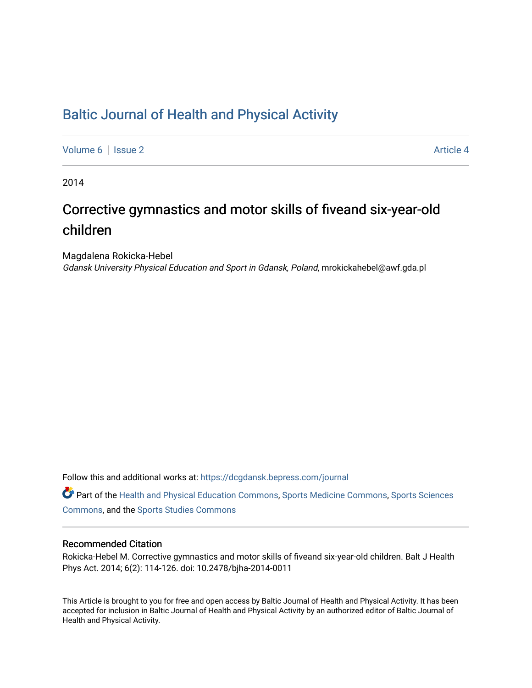# [Baltic Journal of Health and Physical Activity](https://dcgdansk.bepress.com/journal)

[Volume 6](https://dcgdansk.bepress.com/journal/vol6) | [Issue 2](https://dcgdansk.bepress.com/journal/vol6/iss2) Article 4

2014

# Corrective gymnastics and motor skills of fiveand six-year-old children

Magdalena Rokicka-Hebel

Gdansk University Physical Education and Sport in Gdansk, Poland, mrokickahebel@awf.gda.pl

Follow this and additional works at: [https://dcgdansk.bepress.com/journal](https://dcgdansk.bepress.com/journal?utm_source=dcgdansk.bepress.com%2Fjournal%2Fvol6%2Fiss2%2F4&utm_medium=PDF&utm_campaign=PDFCoverPages)

Part of the [Health and Physical Education Commons](http://network.bepress.com/hgg/discipline/1327?utm_source=dcgdansk.bepress.com%2Fjournal%2Fvol6%2Fiss2%2F4&utm_medium=PDF&utm_campaign=PDFCoverPages), [Sports Medicine Commons,](http://network.bepress.com/hgg/discipline/1331?utm_source=dcgdansk.bepress.com%2Fjournal%2Fvol6%2Fiss2%2F4&utm_medium=PDF&utm_campaign=PDFCoverPages) [Sports Sciences](http://network.bepress.com/hgg/discipline/759?utm_source=dcgdansk.bepress.com%2Fjournal%2Fvol6%2Fiss2%2F4&utm_medium=PDF&utm_campaign=PDFCoverPages) [Commons](http://network.bepress.com/hgg/discipline/759?utm_source=dcgdansk.bepress.com%2Fjournal%2Fvol6%2Fiss2%2F4&utm_medium=PDF&utm_campaign=PDFCoverPages), and the [Sports Studies Commons](http://network.bepress.com/hgg/discipline/1198?utm_source=dcgdansk.bepress.com%2Fjournal%2Fvol6%2Fiss2%2F4&utm_medium=PDF&utm_campaign=PDFCoverPages) 

#### Recommended Citation

Rokicka-Hebel M. Corrective gymnastics and motor skills of fiveand six-year-old children. Balt J Health Phys Act. 2014; 6(2): 114-126. doi: 10.2478/bjha-2014-0011

This Article is brought to you for free and open access by Baltic Journal of Health and Physical Activity. It has been accepted for inclusion in Baltic Journal of Health and Physical Activity by an authorized editor of Baltic Journal of Health and Physical Activity.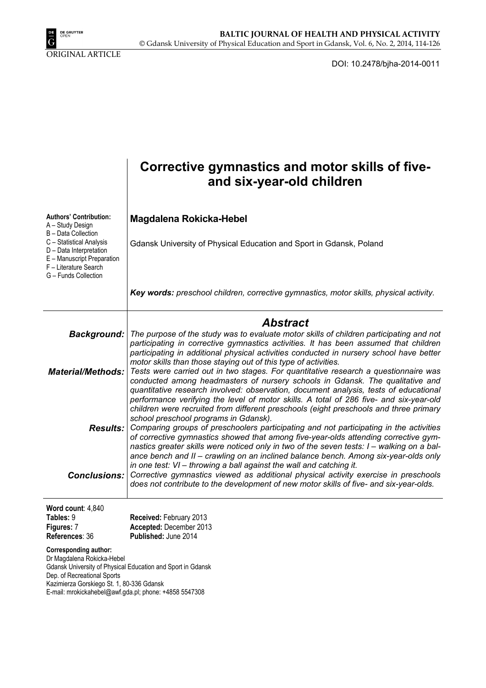

ORIGINAL ARTICLE

DOI: 10.2478/bjha-2014-0011

|                                                                                                                                    | Corrective gymnastics and motor skills of five-<br>and six-year-old children                                                                                                                                                                                                                                                                                                                                                                                                             |
|------------------------------------------------------------------------------------------------------------------------------------|------------------------------------------------------------------------------------------------------------------------------------------------------------------------------------------------------------------------------------------------------------------------------------------------------------------------------------------------------------------------------------------------------------------------------------------------------------------------------------------|
| <b>Authors' Contribution:</b><br>A – Study Design<br>B - Data Collection                                                           | <b>Magdalena Rokicka-Hebel</b>                                                                                                                                                                                                                                                                                                                                                                                                                                                           |
| C – Statistical Analysis<br>D - Data Interpretation<br>E – Manuscript Preparation<br>F - Literature Search<br>G - Funds Collection | Gdansk University of Physical Education and Sport in Gdansk, Poland                                                                                                                                                                                                                                                                                                                                                                                                                      |
|                                                                                                                                    | Key words: preschool children, corrective gymnastics, motor skills, physical activity.                                                                                                                                                                                                                                                                                                                                                                                                   |
|                                                                                                                                    | <b>Abstract</b>                                                                                                                                                                                                                                                                                                                                                                                                                                                                          |
| <b>Background:</b>                                                                                                                 | The purpose of the study was to evaluate motor skills of children participating and not<br>participating in corrective gymnastics activities. It has been assumed that children<br>participating in additional physical activities conducted in nursery school have better                                                                                                                                                                                                               |
|                                                                                                                                    | motor skills than those staying out of this type of activities.                                                                                                                                                                                                                                                                                                                                                                                                                          |
| <b>Material/Methods:</b>                                                                                                           | Tests were carried out in two stages. For quantitative research a questionnaire was<br>conducted among headmasters of nursery schools in Gdansk. The qualitative and<br>quantitative research involved: observation, document analysis, tests of educational<br>performance verifying the level of motor skills. A total of 286 five- and six-year-old<br>children were recruited from different preschools (eight preschools and three primary<br>school preschool programs in Gdansk). |
| <b>Results:</b>                                                                                                                    | Comparing groups of preschoolers participating and not participating in the activities<br>of corrective gymnastics showed that among five-year-olds attending corrective gym-<br>nastics greater skills were noticed only in two of the seven tests: I - walking on a bal-<br>ance bench and II - crawling on an inclined balance bench. Among six-year-olds only<br>in one test: VI - throwing a ball against the wall and catching it.                                                 |
| <b>Conclusions:</b>                                                                                                                | Corrective gymnastics viewed as additional physical activity exercise in preschools<br>does not contribute to the development of new motor skills of five- and six-year-olds.                                                                                                                                                                                                                                                                                                            |
| Word count: 4,840                                                                                                                  |                                                                                                                                                                                                                                                                                                                                                                                                                                                                                          |
| Tables: 9<br>Figures: 7                                                                                                            | Received: February 2013<br>Accepted: December 2013                                                                                                                                                                                                                                                                                                                                                                                                                                       |
| References: 36                                                                                                                     | Published: June 2014                                                                                                                                                                                                                                                                                                                                                                                                                                                                     |
| <b>Corresponding author:</b><br>Dr Magdalena Rokicka-Hebel<br>Dep. of Recreational Sports                                          | Gdansk University of Physical Education and Sport in Gdansk<br>0.00001                                                                                                                                                                                                                                                                                                                                                                                                                   |

Kazimierza Gorskiego St. 1, 80-336 Gdansk

E-mail: mrokickahebel@awf.gda.pl; phone: +4858 5547308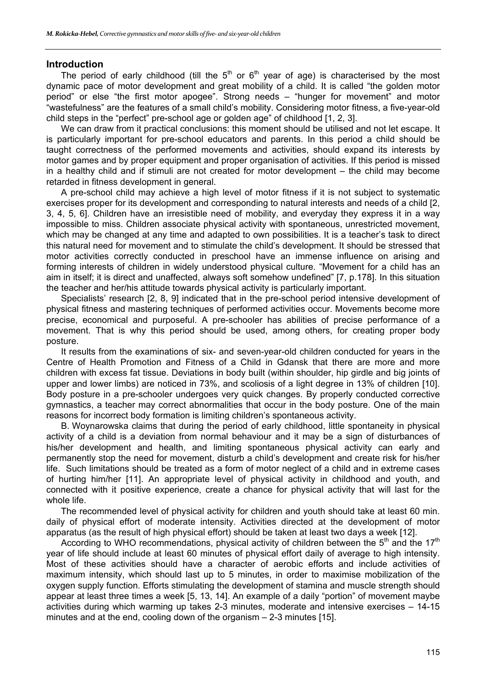#### **Introduction**

The period of early childhood (till the  $5<sup>th</sup>$  or  $6<sup>th</sup>$  year of age) is characterised by the most dynamic pace of motor development and great mobility of a child. It is called "the golden motor period" or else "the first motor apogee". Strong needs – "hunger for movement" and motor "wastefulness" are the features of a small child's mobility. Considering motor fitness, a five-year-old child steps in the "perfect" pre-school age or golden age" of childhood [1, 2, 3].

We can draw from it practical conclusions: this moment should be utilised and not let escape. It is particularly important for pre-school educators and parents. In this period a child should be taught correctness of the performed movements and activities, should expand its interests by motor games and by proper equipment and proper organisation of activities. If this period is missed in a healthy child and if stimuli are not created for motor development – the child may become retarded in fitness development in general.

A pre-school child may achieve a high level of motor fitness if it is not subject to systematic exercises proper for its development and corresponding to natural interests and needs of a child [2, 3, 4, 5, 6]. Children have an irresistible need of mobility, and everyday they express it in a way impossible to miss. Children associate physical activity with spontaneous, unrestricted movement, which may be changed at any time and adapted to own possibilities. It is a teacher's task to direct this natural need for movement and to stimulate the child's development. It should be stressed that motor activities correctly conducted in preschool have an immense influence on arising and forming interests of children in widely understood physical culture. "Movement for a child has an aim in itself; it is direct and unaffected, always soft somehow undefined" [7, p.178]. In this situation the teacher and her/his attitude towards physical activity is particularly important.

Specialists' research [2, 8, 9] indicated that in the pre-school period intensive development of physical fitness and mastering techniques of performed activities occur. Movements become more precise, economical and purposeful. A pre-schooler has abilities of precise performance of a movement. That is why this period should be used, among others, for creating proper body posture.

It results from the examinations of six- and seven-year-old children conducted for years in the Centre of Health Promotion and Fitness of a Child in Gdansk that there are more and more children with excess fat tissue. Deviations in body built (within shoulder, hip girdle and big joints of upper and lower limbs) are noticed in 73%, and scoliosis of a light degree in 13% of children [10]. Body posture in a pre-schooler undergoes very quick changes. By properly conducted corrective gymnastics, a teacher may correct abnormalities that occur in the body posture. One of the main reasons for incorrect body formation is limiting children's spontaneous activity.

B. Woynarowska claims that during the period of early childhood, little spontaneity in physical activity of a child is a deviation from normal behaviour and it may be a sign of disturbances of his/her development and health, and limiting spontaneous physical activity can early and permanently stop the need for movement, disturb a child's development and create risk for his/her life. Such limitations should be treated as a form of motor neglect of a child and in extreme cases of hurting him/her [11]. An appropriate level of physical activity in childhood and youth, and connected with it positive experience, create a chance for physical activity that will last for the whole life.

The recommended level of physical activity for children and youth should take at least 60 min. daily of physical effort of moderate intensity. Activities directed at the development of motor apparatus (as the result of high physical effort) should be taken at least two days a week [12].

According to WHO recommendations, physical activity of children between the  $5<sup>th</sup>$  and the  $17<sup>th</sup>$ year of life should include at least 60 minutes of physical effort daily of average to high intensity. Most of these activities should have a character of aerobic efforts and include activities of maximum intensity, which should last up to 5 minutes, in order to maximise mobilization of the oxygen supply function. Efforts stimulating the development of stamina and muscle strength should appear at least three times a week [5, 13, 14]. An example of a daily "portion" of movement maybe activities during which warming up takes 2-3 minutes, moderate and intensive exercises – 14-15 minutes and at the end, cooling down of the organism – 2-3 minutes [15].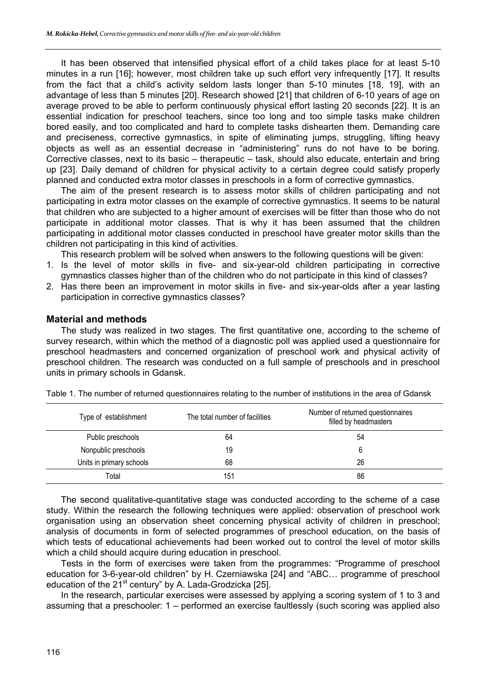It has been observed that intensified physical effort of a child takes place for at least 5-10 minutes in a run [16]; however, most children take up such effort very infrequently [17]. It results from the fact that a child's activity seldom lasts longer than 5-10 minutes [18, 19], with an advantage of less than 5 minutes [20]. Research showed [21] that children of 6-10 years of age on average proved to be able to perform continuously physical effort lasting 20 seconds [22]. It is an essential indication for preschool teachers, since too long and too simple tasks make children bored easily, and too complicated and hard to complete tasks dishearten them. Demanding care and preciseness, corrective gymnastics, in spite of eliminating jumps, struggling, lifting heavy objects as well as an essential decrease in "administering" runs do not have to be boring. Corrective classes, next to its basic – therapeutic – task, should also educate, entertain and bring up [23]. Daily demand of children for physical activity to a certain degree could satisfy properly planned and conducted extra motor classes in preschools in a form of corrective gymnastics.

The aim of the present research is to assess motor skills of children participating and not participating in extra motor classes on the example of corrective gymnastics. It seems to be natural that children who are subjected to a higher amount of exercises will be fitter than those who do not participate in additional motor classes. That is why it has been assumed that the children participating in additional motor classes conducted in preschool have greater motor skills than the children not participating in this kind of activities.

This research problem will be solved when answers to the following questions will be given:

- 1. Is the level of motor skills in five- and six-year-old children participating in corrective gymnastics classes higher than of the children who do not participate in this kind of classes?
- 2. Has there been an improvement in motor skills in five- and six-year-olds after a year lasting participation in corrective gymnastics classes?

#### **Material and methods**

The study was realized in two stages. The first quantitative one, according to the scheme of survey research, within which the method of a diagnostic poll was applied used a questionnaire for preschool headmasters and concerned organization of preschool work and physical activity of preschool children. The research was conducted on a full sample of preschools and in preschool units in primary schools in Gdansk.

| Type of establishment    | The total number of facilities | Number of returned questionnaires<br>filled by headmasters |
|--------------------------|--------------------------------|------------------------------------------------------------|
| Public preschools        | 64                             | 54                                                         |
| Nonpublic preschools     | 19                             |                                                            |
| Units in primary schools | 68                             | 26                                                         |
| Total                    | 151                            | 86                                                         |

Table 1. The number of returned questionnaires relating to the number of institutions in the area of Gdansk

The second qualitative-quantitative stage was conducted according to the scheme of a case study. Within the research the following techniques were applied: observation of preschool work organisation using an observation sheet concerning physical activity of children in preschool; analysis of documents in form of selected programmes of preschool education, on the basis of which tests of educational achievements had been worked out to control the level of motor skills which a child should acquire during education in preschool.

Tests in the form of exercises were taken from the programmes: "Programme of preschool education for 3-6-year-old children" by H. Czerniawska [24] and "ABC… programme of preschool education of the  $21<sup>st</sup>$  century" by A. Lada-Grodzicka [25].

In the research, particular exercises were assessed by applying a scoring system of 1 to 3 and assuming that a preschooler: 1 – performed an exercise faultlessly (such scoring was applied also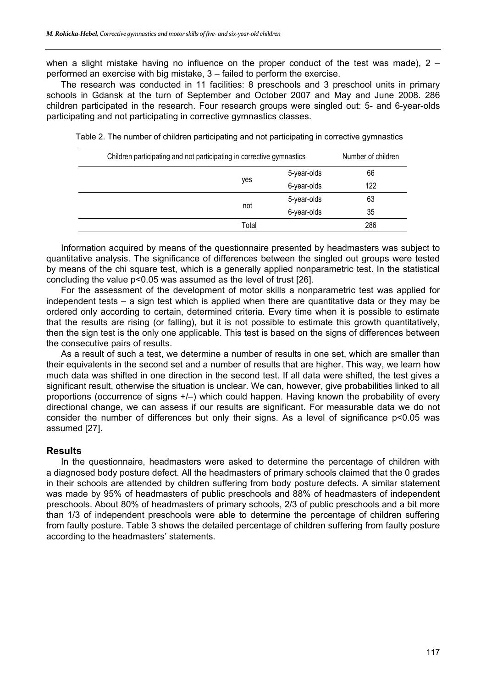when a slight mistake having no influence on the proper conduct of the test was made),  $2$ performed an exercise with big mistake, 3 – failed to perform the exercise.

The research was conducted in 11 facilities: 8 preschools and 3 preschool units in primary schools in Gdansk at the turn of September and October 2007 and May and June 2008. 286 children participated in the research. Four research groups were singled out: 5- and 6-year-olds participating and not participating in corrective gymnastics classes.

| Children participating and not participating in corrective gymnastics | Number of children |     |
|-----------------------------------------------------------------------|--------------------|-----|
|                                                                       | 66                 |     |
| yes                                                                   | 6-year-olds        | 122 |
|                                                                       | 5-year-olds        | 63  |
| not                                                                   | 6-year-olds        | 35  |
| Total                                                                 |                    | 286 |

Table 2. The number of children participating and not participating in corrective gymnastics

Information acquired by means of the questionnaire presented by headmasters was subject to quantitative analysis. The significance of differences between the singled out groups were tested by means of the chi square test, which is a generally applied nonparametric test. In the statistical concluding the value p<0.05 was assumed as the level of trust [26].

For the assessment of the development of motor skills a nonparametric test was applied for independent tests – a sign test which is applied when there are quantitative data or they may be ordered only according to certain, determined criteria. Every time when it is possible to estimate that the results are rising (or falling), but it is not possible to estimate this growth quantitatively, then the sign test is the only one applicable. This test is based on the signs of differences between the consecutive pairs of results.

As a result of such a test, we determine a number of results in one set, which are smaller than their equivalents in the second set and a number of results that are higher. This way, we learn how much data was shifted in one direction in the second test. If all data were shifted, the test gives a significant result, otherwise the situation is unclear. We can, however, give probabilities linked to all proportions (occurrence of signs +/–) which could happen. Having known the probability of every directional change, we can assess if our results are significant. For measurable data we do not consider the number of differences but only their signs. As a level of significance p<0.05 was assumed [27].

#### **Results**

In the questionnaire, headmasters were asked to determine the percentage of children with a diagnosed body posture defect. All the headmasters of primary schools claimed that the 0 grades in their schools are attended by children suffering from body posture defects. A similar statement was made by 95% of headmasters of public preschools and 88% of headmasters of independent preschools. About 80% of headmasters of primary schools, 2/3 of public preschools and a bit more than 1/3 of independent preschools were able to determine the percentage of children suffering from faulty posture. Table 3 shows the detailed percentage of children suffering from faulty posture according to the headmasters' statements.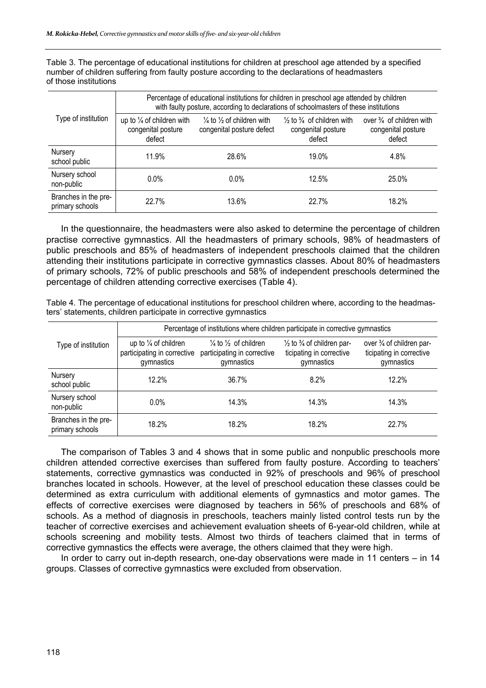Table 3. The percentage of educational institutions for children at preschool age attended by a specified number of children suffering from faulty posture according to the declarations of headmasters of those institutions

|                                         | Percentage of educational institutions for children in preschool age attended by children<br>with faulty posture, according to declarations of schoolmasters of these institutions |                                                                              |                                                                                 |                                                                     |  |
|-----------------------------------------|------------------------------------------------------------------------------------------------------------------------------------------------------------------------------------|------------------------------------------------------------------------------|---------------------------------------------------------------------------------|---------------------------------------------------------------------|--|
| Type of institution                     | up to $\frac{1}{4}$ of children with<br>congenital posture<br>defect                                                                                                               | $\frac{1}{4}$ to $\frac{1}{2}$ of children with<br>congenital posture defect | $\frac{1}{2}$ to $\frac{3}{4}$ of children with<br>congenital posture<br>defect | over $\frac{3}{4}$ of children with<br>congenital posture<br>defect |  |
| Nursery<br>school public                | 11.9%                                                                                                                                                                              | 28.6%                                                                        | 19.0%                                                                           | 4.8%                                                                |  |
| Nursery school<br>non-public            | $0.0\%$                                                                                                                                                                            | $0.0\%$                                                                      | 12.5%                                                                           | 25.0%                                                               |  |
| Branches in the pre-<br>primary schools | 22.7%                                                                                                                                                                              | 13.6%                                                                        | 22.7%                                                                           | 18.2%                                                               |  |

In the questionnaire, the headmasters were also asked to determine the percentage of children practise corrective gymnastics. All the headmasters of primary schools, 98% of headmasters of public preschools and 85% of headmasters of independent preschools claimed that the children attending their institutions participate in corrective gymnastics classes. About 80% of headmasters of primary schools, 72% of public preschools and 58% of independent preschools determined the percentage of children attending corrective exercises (Table 4).

Table 4. The percentage of educational institutions for preschool children where, according to the headmasters' statements, children participate in corrective gymnastics

|                                         | Percentage of institutions where children participate in corrective gymnastics |                                                                                         |                                                                                           |                                                                     |  |  |
|-----------------------------------------|--------------------------------------------------------------------------------|-----------------------------------------------------------------------------------------|-------------------------------------------------------------------------------------------|---------------------------------------------------------------------|--|--|
| Type of institution                     | up to $\frac{1}{4}$ of children<br>participating in corrective<br>gymnastics   | $\frac{1}{4}$ to $\frac{1}{2}$ of children<br>participating in corrective<br>gymnastics | $\frac{1}{2}$ to $\frac{3}{4}$ of children par-<br>ticipating in corrective<br>gymnastics | over 3/4 of children par-<br>ticipating in corrective<br>gymnastics |  |  |
| Nursery<br>school public                | 12.2%                                                                          | 36.7%                                                                                   | 8.2%                                                                                      | 12.2%                                                               |  |  |
| Nursery school<br>non-public            | $0.0\%$                                                                        | 14.3%                                                                                   | 14.3%                                                                                     | 14.3%                                                               |  |  |
| Branches in the pre-<br>primary schools | 18.2%                                                                          | 18.2%                                                                                   | 18.2%                                                                                     | 22.7%                                                               |  |  |

The comparison of Tables 3 and 4 shows that in some public and nonpublic preschools more children attended corrective exercises than suffered from faulty posture. According to teachers' statements, corrective gymnastics was conducted in 92% of preschools and 96% of preschool branches located in schools. However, at the level of preschool education these classes could be determined as extra curriculum with additional elements of gymnastics and motor games. The effects of corrective exercises were diagnosed by teachers in 56% of preschools and 68% of schools. As a method of diagnosis in preschools, teachers mainly listed control tests run by the teacher of corrective exercises and achievement evaluation sheets of 6-year-old children, while at schools screening and mobility tests. Almost two thirds of teachers claimed that in terms of corrective gymnastics the effects were average, the others claimed that they were high.

In order to carry out in-depth research, one-day observations were made in 11 centers – in 14 groups. Classes of corrective gymnastics were excluded from observation.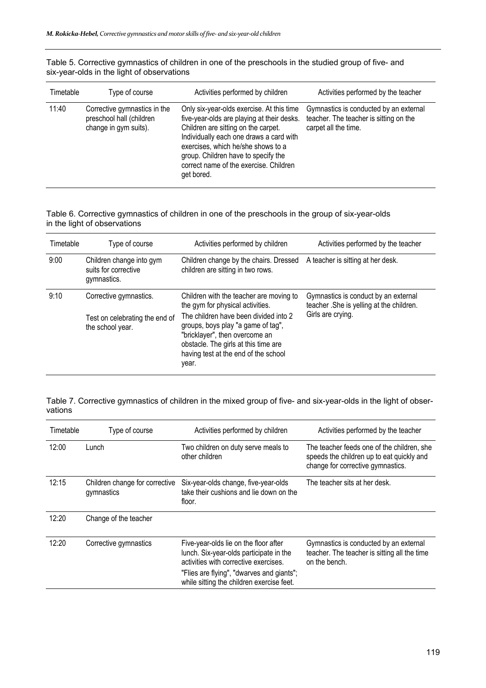Table 5. Corrective gymnastics of children in one of the preschools in the studied group of five- and six-year-olds in the light of observations

| Timetable | Type of course                                                                    | Activities performed by children                                                                                                                                                                                                                                                                               | Activities performed by the teacher                                                                      |
|-----------|-----------------------------------------------------------------------------------|----------------------------------------------------------------------------------------------------------------------------------------------------------------------------------------------------------------------------------------------------------------------------------------------------------------|----------------------------------------------------------------------------------------------------------|
| 11:40     | Corrective gymnastics in the<br>preschool hall (children<br>change in gym suits). | Only six-year-olds exercise. At this time<br>five-year-olds are playing at their desks.<br>Children are sitting on the carpet.<br>Individually each one draws a card with<br>exercises, which he/she shows to a<br>group. Children have to specify the<br>correct name of the exercise. Children<br>get bored. | Gymnastics is conducted by an external<br>teacher. The teacher is sitting on the<br>carpet all the time. |

#### Table 6. Corrective gymnastics of children in one of the preschools in the group of six-year-olds in the light of observations

| Timetable | Type of course                                                               | Activities performed by children                                                                                                                                                                                                                                                      | Activities performed by the teacher                                                                   |
|-----------|------------------------------------------------------------------------------|---------------------------------------------------------------------------------------------------------------------------------------------------------------------------------------------------------------------------------------------------------------------------------------|-------------------------------------------------------------------------------------------------------|
| 9:00      | Children change into gym<br>suits for corrective<br>gymnastics.              | Children change by the chairs. Dressed<br>children are sitting in two rows.                                                                                                                                                                                                           | A teacher is sitting at her desk.                                                                     |
| 9:10      | Corrective gymnastics.<br>Test on celebrating the end of<br>the school year. | Children with the teacher are moving to<br>the gym for physical activities.<br>The children have been divided into 2<br>groups, boys play "a game of tag",<br>"bricklayer", then overcome an<br>obstacle. The girls at this time are<br>having test at the end of the school<br>year. | Gymnastics is conduct by an external<br>teacher .She is yelling at the children.<br>Girls are crying. |

#### Table 7. Corrective gymnastics of children in the mixed group of five- and six-year-olds in the light of observations

| Timetable | Type of course                               | Activities performed by children                                                                                                                                                                                    | Activities performed by the teacher                                                                                          |
|-----------|----------------------------------------------|---------------------------------------------------------------------------------------------------------------------------------------------------------------------------------------------------------------------|------------------------------------------------------------------------------------------------------------------------------|
| 12:00     | Lunch                                        | Two children on duty serve meals to<br>other children                                                                                                                                                               | The teacher feeds one of the children, she<br>speeds the children up to eat quickly and<br>change for corrective gymnastics. |
| 12:15     | Children change for corrective<br>gymnastics | Six-year-olds change, five-year-olds<br>take their cushions and lie down on the<br>floor.                                                                                                                           | The teacher sits at her desk.                                                                                                |
| 12:20     | Change of the teacher                        |                                                                                                                                                                                                                     |                                                                                                                              |
| 12:20     | Corrective gymnastics                        | Five-year-olds lie on the floor after<br>lunch. Six-year-olds participate in the<br>activities with corrective exercises.<br>"Flies are flying", "dwarves and giants";<br>while sitting the children exercise feet. | Gymnastics is conducted by an external<br>teacher. The teacher is sitting all the time<br>on the bench.                      |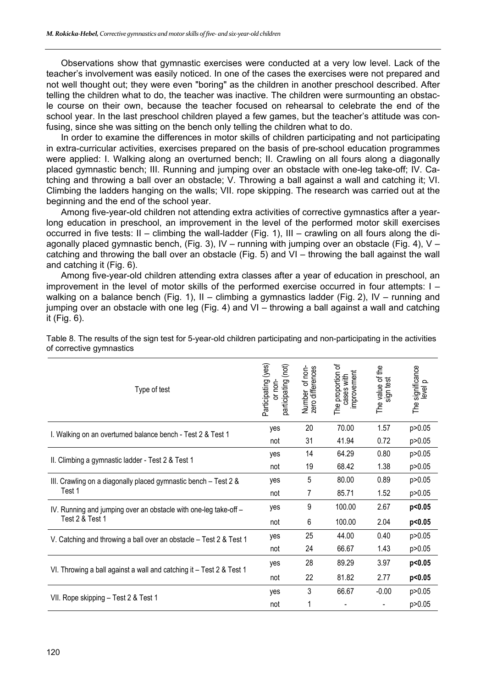Observations show that gymnastic exercises were conducted at a very low level. Lack of the teacher's involvement was easily noticed. In one of the cases the exercises were not prepared and not well thought out; they were even "boring" as the children in another preschool described. After telling the children what to do, the teacher was inactive. The children were surmounting an obstacle course on their own, because the teacher focused on rehearsal to celebrate the end of the school year. In the last preschool children played a few games, but the teacher's attitude was confusing, since she was sitting on the bench only telling the children what to do.

In order to examine the differences in motor skills of children participating and not participating in extra-curricular activities, exercises prepared on the basis of pre-school education programmes were applied: I. Walking along an overturned bench; II. Crawling on all fours along a diagonally placed gymnastic bench; III. Running and jumping over an obstacle with one-leg take-off; IV. Catching and throwing a ball over an obstacle; V. Throwing a ball against a wall and catching it; VI. Climbing the ladders hanging on the walls; VII. rope skipping. The research was carried out at the beginning and the end of the school year.

Among five-year-old children not attending extra activities of corrective gymnastics after a yearlong education in preschool, an improvement in the level of the performed motor skill exercises occurred in five tests: II – climbing the wall-ladder (Fig. 1), III – crawling on all fours along the diagonally placed gymnastic bench, (Fig. 3), IV – running with jumping over an obstacle (Fig. 4), V – catching and throwing the ball over an obstacle (Fig. 5) and VI – throwing the ball against the wall and catching it (Fig. 6).

Among five-year-old children attending extra classes after a year of education in preschool, an improvement in the level of motor skills of the performed exercise occurred in four attempts: I – walking on a balance bench (Fig. 1), II – climbing a gymnastics ladder (Fig. 2), IV – running and jumping over an obstacle with one leg (Fig. 4) and VI – throwing a ball against a wall and catching it (Fig. 6).

| Type of test                                                         | Participating (yes)<br>participating (not)<br>or non- | Number of non-<br>zero differences | The proportion of<br>improvement<br>cases with | The value of the<br>sign test | The significance<br>level p |
|----------------------------------------------------------------------|-------------------------------------------------------|------------------------------------|------------------------------------------------|-------------------------------|-----------------------------|
| I. Walking on an overturned balance bench - Test 2 & Test 1          | yes                                                   | 20                                 | 70.00                                          | 1.57                          | p>0.05                      |
|                                                                      | not                                                   | 31                                 | 41.94                                          | 0.72                          | p>0.05                      |
|                                                                      | yes                                                   | 14                                 | 64.29                                          | 0.80                          | p>0.05                      |
| II. Climbing a gymnastic ladder - Test 2 & Test 1                    | not                                                   | 19                                 | 68.42                                          | 1.38                          | p>0.05                      |
| III. Crawling on a diagonally placed gymnastic bench - Test 2 &      | yes                                                   | 5                                  | 80.00                                          | 0.89                          | p>0.05                      |
| Test 1                                                               | not                                                   | 7                                  | 85.71                                          | 1.52                          | p>0.05                      |
| IV. Running and jumping over an obstacle with one-leg take-off -     | yes                                                   | 9                                  | 100.00                                         | 2.67                          | p<0.05                      |
| Test 2 & Test 1                                                      | not                                                   | 6                                  | 100.00                                         | 2.04                          | p<0.05                      |
| V. Catching and throwing a ball over an obstacle - Test 2 & Test 1   | yes                                                   | 25                                 | 44.00                                          | 0.40                          | p>0.05                      |
|                                                                      | not                                                   | 24                                 | 66.67                                          | 1.43                          | p>0.05                      |
| VI. Throwing a ball against a wall and catching it - Test 2 & Test 1 | yes                                                   | 28                                 | 89.29                                          | 3.97                          | p<0.05                      |
|                                                                      | not                                                   | 22                                 | 81.82                                          | 2.77                          | p<0.05                      |
| VII. Rope skipping - Test 2 & Test 1                                 | yes                                                   | 3                                  | 66.67                                          | $-0.00$                       | p>0.05                      |
|                                                                      | not                                                   |                                    |                                                |                               | p>0.05                      |

Table 8. The results of the sign test for 5-year-old children participating and non-participating in the activities of corrective gymnastics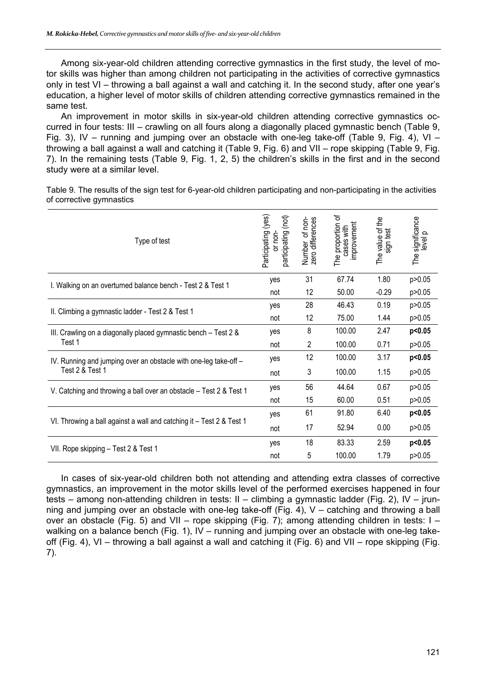Among six-year-old children attending corrective gymnastics in the first study, the level of motor skills was higher than among children not participating in the activities of corrective gymnastics only in test VI – throwing a ball against a wall and catching it. In the second study, after one year's education, a higher level of motor skills of children attending corrective gymnastics remained in the same test.

An improvement in motor skills in six-year-old children attending corrective gymnastics occurred in four tests: III – crawling on all fours along a diagonally placed gymnastic bench (Table 9, Fig. 3), IV – running and jumping over an obstacle with one-leg take-off (Table 9, Fig. 4), VI – throwing a ball against a wall and catching it (Table 9, Fig. 6) and VII – rope skipping (Table 9, Fig. 7). In the remaining tests (Table 9, Fig. 1, 2, 5) the children's skills in the first and in the second study were at a similar level.

Table 9. The results of the sign test for 6-year-old children participating and non-participating in the activities of corrective gymnastics

| Type of test                                                         | (yes)<br>(not)<br><b>Participating</b><br>participating<br>or non- | Number of non-<br>zero differences | The proportion of<br>improvement<br>cases with | The value of the<br>sign test | The significance<br>$\Omega$<br>level |
|----------------------------------------------------------------------|--------------------------------------------------------------------|------------------------------------|------------------------------------------------|-------------------------------|---------------------------------------|
| I. Walking on an overturned balance bench - Test 2 & Test 1          | yes                                                                | 31                                 | 67.74                                          | 1.80                          | p>0.05                                |
|                                                                      | not                                                                | 12                                 | 50.00                                          | $-0.29$                       | p>0.05                                |
|                                                                      | yes                                                                | 28                                 | 46.43                                          | 0.19                          | p>0.05                                |
| II. Climbing a gymnastic ladder - Test 2 & Test 1                    | not                                                                | 12                                 | 75.00                                          | 1.44                          | p>0.05                                |
| III. Crawling on a diagonally placed gymnastic bench – Test 2 &      | yes                                                                | 8                                  | 100.00                                         | 2.47                          | p<0.05                                |
| Test 1                                                               | not                                                                | 2                                  | 100.00                                         | 0.71                          | p>0.05                                |
| IV. Running and jumping over an obstacle with one-leg take-off -     | yes                                                                | 12                                 | 100.00                                         | 3.17                          | p<0.05                                |
| Test 2 & Test 1                                                      | not                                                                | 3                                  | 100.00                                         | 1.15                          | p>0.05                                |
| V. Catching and throwing a ball over an obstacle - Test 2 & Test 1   | yes                                                                | 56                                 | 44.64                                          | 0.67                          | p>0.05                                |
|                                                                      | not                                                                | 15                                 | 60.00                                          | 0.51                          | p>0.05                                |
|                                                                      | yes                                                                | 61                                 | 91.80                                          | 6.40                          | p<0.05                                |
| VI. Throwing a ball against a wall and catching it - Test 2 & Test 1 | not                                                                | 17                                 | 52.94                                          | 0.00                          | p>0.05                                |
| VII. Rope skipping - Test 2 & Test 1                                 | yes                                                                | 18                                 | 83.33                                          | 2.59                          | p<0.05                                |
|                                                                      | not                                                                | 5                                  | 100.00                                         | 1.79                          | p>0.05                                |

In cases of six-year-old children both not attending and attending extra classes of corrective gymnastics, an improvement in the motor skills level of the performed exercises happened in four tests – among non-attending children in tests: II – climbing a gymnastic ladder (Fig. 2), IV – jrunning and jumping over an obstacle with one-leg take-off (Fig. 4), V – catching and throwing a ball over an obstacle (Fig. 5) and VII – rope skipping (Fig. 7); among attending children in tests: I – walking on a balance bench (Fig. 1), IV – running and jumping over an obstacle with one-leg takeoff (Fig. 4), VI – throwing a ball against a wall and catching it (Fig. 6) and VII – rope skipping (Fig. 7).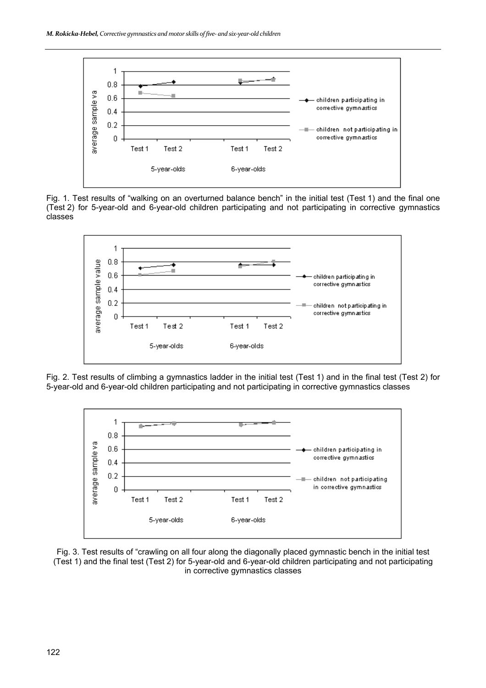

Fig. 1. Test results of "walking on an overturned balance bench" in the initial test (Test 1) and the final one (Test 2) for 5-year-old and 6-year-old children participating and not participating in corrective gymnastics classes



Fig. 2. Test results of climbing a gymnastics ladder in the initial test (Test 1) and in the final test (Test 2) for 5-year-old and 6-year-old children participating and not participating in corrective gymnastics classes



Fig. 3. Test results of "crawling on all four along the diagonally placed gymnastic bench in the initial test (Test 1) and the final test (Test 2) for 5-year-old and 6-year-old children participating and not participating in corrective gymnastics classes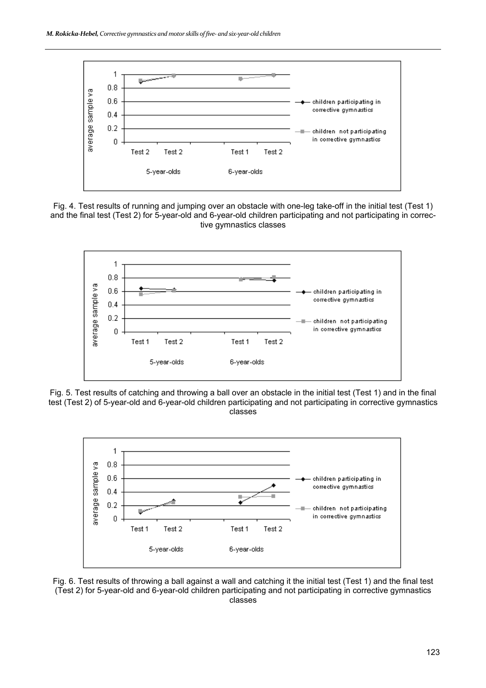





Fig. 5. Test results of catching and throwing a ball over an obstacle in the initial test (Test 1) and in the final test (Test 2) of 5-year-old and 6-year-old children participating and not participating in corrective gymnastics classes



Fig. 6. Test results of throwing a ball against a wall and catching it the initial test (Test 1) and the final test (Test 2) for 5-year-old and 6-year-old children participating and not participating in corrective gymnastics classes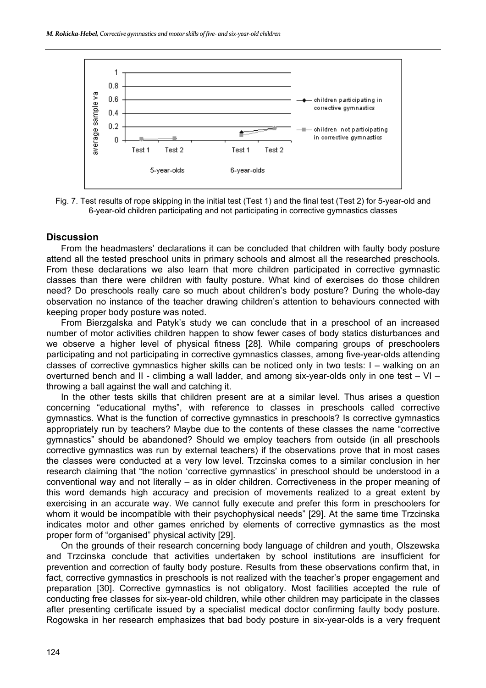

Fig. 7. Test results of rope skipping in the initial test (Test 1) and the final test (Test 2) for 5-year-old and 6-year-old children participating and not participating in corrective gymnastics classes

#### **Discussion**

From the headmasters' declarations it can be concluded that children with faulty body posture attend all the tested preschool units in primary schools and almost all the researched preschools. From these declarations we also learn that more children participated in corrective gymnastic classes than there were children with faulty posture. What kind of exercises do those children need? Do preschools really care so much about children's body posture? During the whole-day observation no instance of the teacher drawing children's attention to behaviours connected with keeping proper body posture was noted.

From Bierzgalska and Patyk's study we can conclude that in a preschool of an increased number of motor activities children happen to show fewer cases of body statics disturbances and we observe a higher level of physical fitness [28]. While comparing groups of preschoolers participating and not participating in corrective gymnastics classes, among five-year-olds attending classes of corrective gymnastics higher skills can be noticed only in two tests: I – walking on an overturned bench and II - climbing a wall ladder, and among six-year-olds only in one test – VI – throwing a ball against the wall and catching it.

In the other tests skills that children present are at a similar level. Thus arises a question concerning "educational myths", with reference to classes in preschools called corrective gymnastics. What is the function of corrective gymnastics in preschools? Is corrective gymnastics appropriately run by teachers? Maybe due to the contents of these classes the name "corrective gymnastics" should be abandoned? Should we employ teachers from outside (in all preschools corrective gymnastics was run by external teachers) if the observations prove that in most cases the classes were conducted at a very low level. Trzcinska comes to a similar conclusion in her research claiming that "the notion 'corrective gymnastics' in preschool should be understood in a conventional way and not literally – as in older children. Correctiveness in the proper meaning of this word demands high accuracy and precision of movements realized to a great extent by exercising in an accurate way. We cannot fully execute and prefer this form in preschoolers for whom it would be incompatible with their psychophysical needs" [29]. At the same time Trzcinska indicates motor and other games enriched by elements of corrective gymnastics as the most proper form of "organised" physical activity [29].

On the grounds of their research concerning body language of children and youth, Olszewska and Trzcinska conclude that activities undertaken by school institutions are insufficient for prevention and correction of faulty body posture. Results from these observations confirm that, in fact, corrective gymnastics in preschools is not realized with the teacher's proper engagement and preparation [30]. Corrective gymnastics is not obligatory. Most facilities accepted the rule of conducting free classes for six-year-old children, while other children may participate in the classes after presenting certificate issued by a specialist medical doctor confirming faulty body posture. Rogowska in her research emphasizes that bad body posture in six-year-olds is a very frequent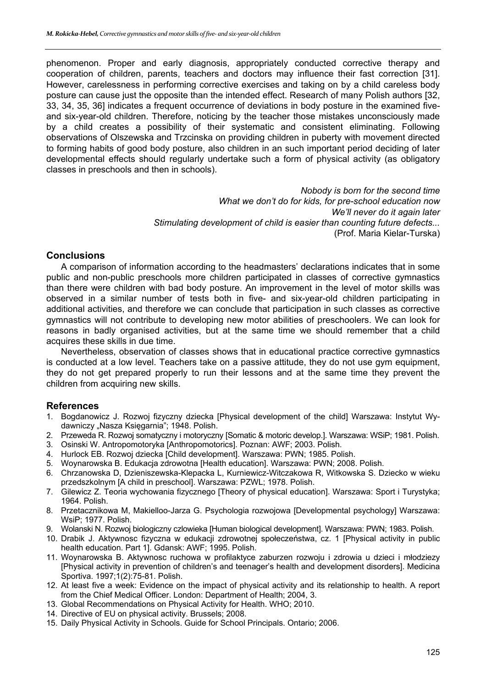phenomenon. Proper and early diagnosis, appropriately conducted corrective therapy and cooperation of children, parents, teachers and doctors may influence their fast correction [31]. However, carelessness in performing corrective exercises and taking on by a child careless body posture can cause just the opposite than the intended effect. Research of many Polish authors [32, 33, 34, 35, 36] indicates a frequent occurrence of deviations in body posture in the examined fiveand six-year-old children. Therefore, noticing by the teacher those mistakes unconsciously made by a child creates a possibility of their systematic and consistent eliminating. Following observations of Olszewska and Trzcinska on providing children in puberty with movement directed to forming habits of good body posture, also children in an such important period deciding of later developmental effects should regularly undertake such a form of physical activity (as obligatory classes in preschools and then in schools).

> *Nobody is born for the second time What we don't do for kids, for pre-school education now We'll never do it again later Stimulating development of child is easier than counting future defects...*  (Prof. Maria Kielar-Turska)

## **Conclusions**

A comparison of information according to the headmasters' declarations indicates that in some public and non-public preschools more children participated in classes of corrective gymnastics than there were children with bad body posture. An improvement in the level of motor skills was observed in a similar number of tests both in five- and six-year-old children participating in additional activities, and therefore we can conclude that participation in such classes as corrective gymnastics will not contribute to developing new motor abilities of preschoolers. We can look for reasons in badly organised activities, but at the same time we should remember that a child acquires these skills in due time.

Nevertheless, observation of classes shows that in educational practice corrective gymnastics is conducted at a low level. Teachers take on a passive attitude, they do not use gym equipment, they do not get prepared properly to run their lessons and at the same time they prevent the children from acquiring new skills.

### **References**

- 1. Bogdanowicz J. Rozwoj fizyczny dziecka [Physical development of the child] Warszawa: Instytut Wydawniczy "Nasza Księgarnia"; 1948. Polish.
- 2. Przeweda R. Rozwoj somatyczny i motoryczny [Somatic & motoric develop.]. Warszawa: WSiP; 1981. Polish.
- 3. Osinski W. Antropomotoryka [Anthropomotorics]. Poznan: AWF; 2003. Polish.
- 4. Hurlock EB. Rozwoj dziecka [Child development]. Warszawa: PWN; 1985. Polish.
- 5. Woynarowska B. Edukacja zdrowotna [Health education]. Warszawa: PWN; 2008. Polish.
- 6. Chrzanowska D, Dzieniszewska-Klepacka L, Kurniewicz-Witczakowa R, Witkowska S. Dziecko w wieku przedszkolnym [A child in preschool]. Warszawa: PZWL; 1978. Polish.
- 7. Gilewicz Z. Teoria wychowania fizycznego [Theory of physical education]. Warszawa: Sport i Turystyka; 1964. Polish.
- 8. Przetacznikowa M, Makielloo-Jarza G. Psychologia rozwojowa [Developmental psychology] Warszawa: WsiP; 1977. Polish.
- 9. Wolanski N. Rozwoj biologiczny czlowieka [Human biological development]. Warszawa: PWN; 1983. Polish.
- 10. Drabik J. Aktywnosc fizyczna w edukacji zdrowotnej społeczeństwa, cz. 1 [Physical activity in public health education. Part 1]. Gdansk: AWF; 1995. Polish.
- 11. Woynarowska B. Aktywnosc ruchowa w profilaktyce zaburzen rozwoju i zdrowia u dzieci i młodziezy [Physical activity in prevention of children's and teenager's health and development disorders]. Medicina Sportiva. 1997;1(2):75-81. Polish.
- 12. At least five a week: Evidence on the impact of physical activity and its relationship to health. A report from the Chief Medical Officer. London: Department of Health; 2004, 3.
- 13. Global Recommendations on Physical Activity for Health. WHO; 2010.
- 14. Directive of EU on physical activity. Brussels; 2008.
- 15. Daily Physical Activity in Schools. Guide for School Principals. Ontario; 2006.